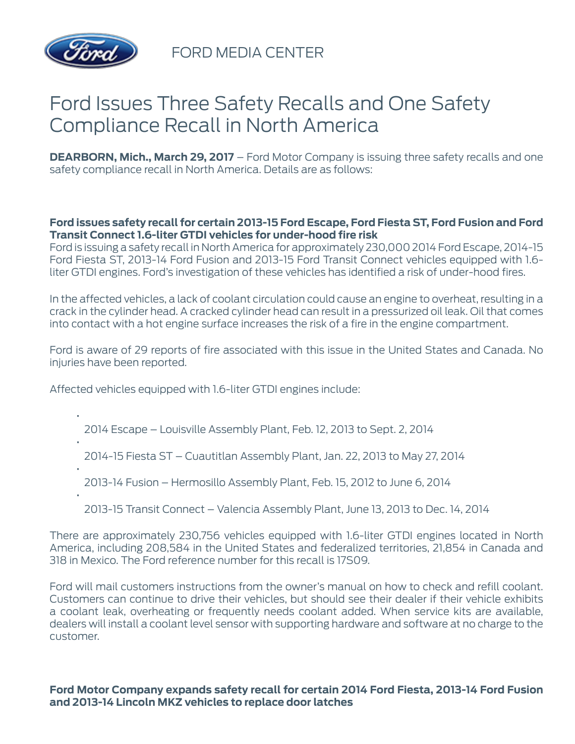

FORD MEDIA CENTER

# Ford Issues Three Safety Recalls and One Safety Compliance Recall in North America

**DEARBORN, Mich., March 29, 2017** – Ford Motor Company is issuing three safety recalls and one safety compliance recall in North America. Details are as follows:

## **Ford issues safety recall for certain 2013-15 Ford Escape, Ford Fiesta ST, Ford Fusion and Ford Transit Connect 1.6-liter GTDI vehicles for under-hood fire risk**

Ford is issuing a safety recall in North America for approximately 230,000 2014 Ford Escape, 2014-15 Ford Fiesta ST, 2013-14 Ford Fusion and 2013-15 Ford Transit Connect vehicles equipped with 1.6 liter GTDI engines. Ford's investigation of these vehicles has identified a risk of under-hood fires.

In the affected vehicles, a lack of coolant circulation could cause an engine to overheat, resulting in a crack in the cylinder head. A cracked cylinder head can result in a pressurized oil leak. Oil that comes into contact with a hot engine surface increases the risk of a fire in the engine compartment.

Ford is aware of 29 reports of fire associated with this issue in the United States and Canada. No iniuries have been reported.

Affected vehicles equipped with 1.6-liter GTDI engines include:

- 2014 Escape Louisville Assembly Plant, Feb. 12, 2013 to Sept. 2, 2014
- 2014-15 Fiesta ST Cuautitlan Assembly Plant, Jan. 22, 2013 to May 27, 2014
- 2013-14 Fusion Hermosillo Assembly Plant, Feb. 15, 2012 to June 6, 2014
- •

•

•

•

2013-15 Transit Connect – Valencia Assembly Plant, June 13, 2013 to Dec. 14, 2014

There are approximately 230,756 vehicles equipped with 1.6-liter GTDI engines located in North America, including 208,584 in the United States and federalized territories, 21,854 in Canada and 318 in Mexico. The Ford reference number for this recall is 17S09.

Ford will mail customers instructions from the owner's manual on how to check and refill coolant. Customers can continue to drive their vehicles, but should see their dealer if their vehicle exhibits a coolant leak, overheating or frequently needs coolant added. When service kits are available, dealers will install a coolant level sensor with supporting hardware and software at no charge to the customer.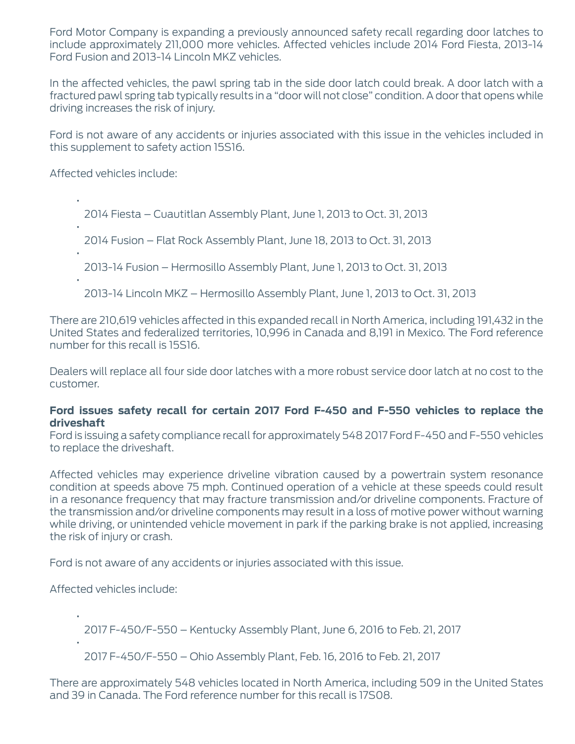Ford Motor Company is expanding a previously announced safety recall regarding door latches to include approximately 211,000 more vehicles. Affected vehicles include 2014 Ford Fiesta, 2013-14 Ford Fusion and 2013-14 Lincoln MKZ vehicles.

In the affected vehicles, the pawl spring tab in the side door latch could break. A door latch with a fractured pawl spring tab typically results in a "door will not close" condition. A door that opens while driving increases the risk of injury.

Ford is not aware of any accidents or injuries associated with this issue in the vehicles included in this supplement to safety action 15S16.

Affected vehicles include:

2014 Fiesta – Cuautitlan Assembly Plant, June 1, 2013 to Oct. 31, 2013

2014 Fusion – Flat Rock Assembly Plant, June 18, 2013 to Oct. 31, 2013

•

•

•

•

2013-14 Fusion – Hermosillo Assembly Plant, June 1, 2013 to Oct. 31, 2013

2013-14 Lincoln MKZ – Hermosillo Assembly Plant, June 1, 2013 to Oct. 31, 2013

There are 210,619 vehicles affected in this expanded recall in North America, including 191,432 in the United States and federalized territories, 10,996 in Canada and 8,191 in Mexico. The Ford reference number for this recall is 15S16.

Dealers will replace all four side door latches with a more robust service door latch at no cost to the customer.

#### **Ford issues safety recall for certain 2017 Ford F-450 and F-550 vehicles to replace the driveshaft**

Ford is issuing a safety compliance recall for approximately 548 2017 Ford F-450 and F-550 vehicles to replace the driveshaft.

Affected vehicles may experience driveline vibration caused by a powertrain system resonance condition at speeds above 75 mph. Continued operation of a vehicle at these speeds could result in a resonance frequency that may fracture transmission and/or driveline components. Fracture of the transmission and/or driveline components may result in a loss of motive power without warning while driving, or unintended vehicle movement in park if the parking brake is not applied, increasing the risk of injury or crash.

Ford is not aware of any accidents or injuries associated with this issue.

Affected vehicles include:

•

•

2017 F-450/F-550 – Kentucky Assembly Plant, June 6, 2016 to Feb. 21, 2017

2017 F-450/F-550 – Ohio Assembly Plant, Feb. 16, 2016 to Feb. 21, 2017

There are approximately 548 vehicles located in North America, including 509 in the United States and 39 in Canada. The Ford reference number for this recall is 17S08.